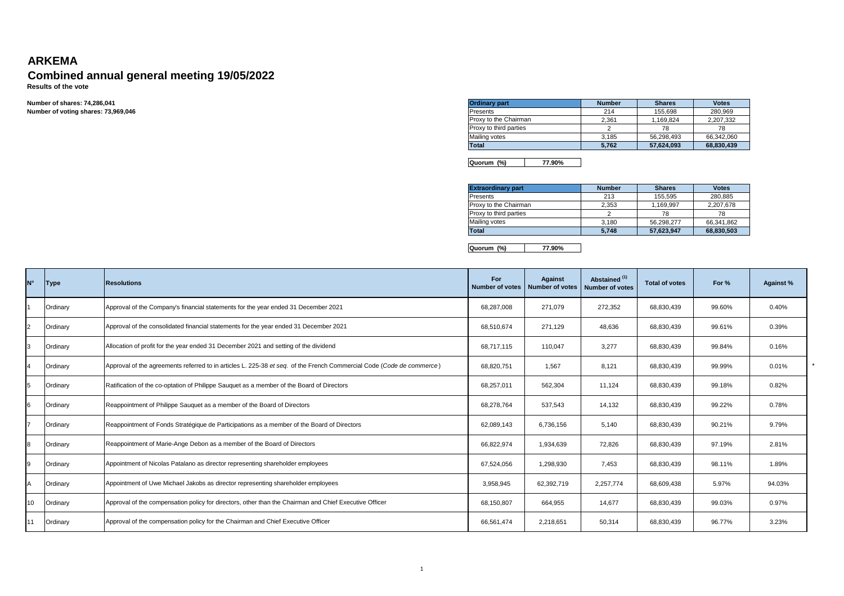## **ARKEMA**

## **Combined annual general meeting 19/05/2022 Results of the vote**

**Number of shares: 74,286,041Number of voting shares: 73,969,046**

| <b>Ordinary part</b>   | <b>Number</b> | <b>Shares</b> | <b>Votes</b> |  |  |
|------------------------|---------------|---------------|--------------|--|--|
| <b>Presents</b>        | 214           | 155.698       | 280.969      |  |  |
| Proxy to the Chairman  | 2.361         | 1.169.824     | 2.207.332    |  |  |
| Proxy to third parties |               | 78            | 78           |  |  |
| <b>Mailing votes</b>   | 3.185         | 56.298.493    | 66,342,060   |  |  |
| <b>Total</b>           | 5.762         | 57,624,093    | 68,830,439   |  |  |

**Quorum (%) 77.90%**

| <b>Extraordinary part</b> | <b>Number</b> | <b>Shares</b> | <b>Votes</b> |  |  |
|---------------------------|---------------|---------------|--------------|--|--|
| <b>IPresents</b>          | 213           | 155.595       | 280.885      |  |  |
| Proxy to the Chairman     | 2.353         | 1.169.997     | 2.207.678    |  |  |
| Proxy to third parties    |               | 78            | 78           |  |  |
| <b>Mailing votes</b>      | 3.180         | 56.298.277    | 66,341,862   |  |  |
| <b>Total</b>              | 5.748         | 57,623,947    | 68,830,503   |  |  |

**Quorum (%) 77.90%**

| N° | <b>Type</b> | <b>Resolutions</b>                                                                                                    | For<br>Number of votes | <b>Against</b><br><b>Number of votes</b> | Abstained <sup>(1)</sup><br><b>Number of votes</b> | <b>Total of votes</b> | For %  | <b>Against %</b> |
|----|-------------|-----------------------------------------------------------------------------------------------------------------------|------------------------|------------------------------------------|----------------------------------------------------|-----------------------|--------|------------------|
|    | Ordinary    | Approval of the Company's financial statements for the year ended 31 December 2021                                    | 68,287,008             | 271,079                                  | 272,352                                            | 68,830,439            | 99.60% | 0.40%            |
|    | Ordinary    | Approval of the consolidated financial statements for the year ended 31 December 2021                                 | 68.510.674             | 271.129                                  | 48,636                                             | 68,830,439            | 99.61% | 0.39%            |
|    | Ordinary    | Allocation of profit for the year ended 31 December 2021 and setting of the dividend                                  | 68.717.115             | 110,047                                  | 3,277                                              | 68,830,439            | 99.84% | 0.16%            |
| 4  | Ordinary    | Approval of the agreements referred to in articles L. 225-38 et seq. of the French Commercial Code (Code de commerce) | 68,820,751             | 1.567                                    | 8,121                                              | 68,830,439            | 99.99% | 0.01%            |
| 5  | Ordinary    | Ratification of the co-optation of Philippe Sauguet as a member of the Board of Directors                             | 68,257,011             | 562,304                                  | 11.124                                             | 68,830,439            | 99.18% | 0.82%            |
| 6  | Ordinary    | Reappointment of Philippe Sauguet as a member of the Board of Directors                                               | 68.278.764             | 537,543                                  | 14.132                                             | 68,830,439            | 99.22% | 0.78%            |
|    | Ordinary    | Reappointment of Fonds Stratégique de Participations as a member of the Board of Directors                            | 62,089,143             | 6,736,156                                | 5.140                                              | 68,830,439            | 90.21% | 9.79%            |
|    | Ordinary    | Reappointment of Marie-Ange Debon as a member of the Board of Directors                                               | 66,822,974             | 1,934,639                                | 72,826                                             | 68,830,439            | 97.19% | 2.81%            |
| 9  | Ordinary    | Appointment of Nicolas Patalano as director representing shareholder employees                                        | 67,524,056             | 1,298,930                                | 7,453                                              | 68,830,439            | 98.11% | 1.89%            |
|    | Ordinary    | Appointment of Uwe Michael Jakobs as director representing shareholder employees                                      | 3,958,945              | 62,392,719                               | 2,257,774                                          | 68,609,438            | 5.97%  | 94.03%           |
| 10 | Ordinary    | Approval of the compensation policy for directors, other than the Chairman and Chief Executive Officer                | 68,150,807             | 664,955                                  | 14,677                                             | 68,830,439            | 99.03% | 0.97%            |
|    | Ordinary    | Approval of the compensation policy for the Chairman and Chief Executive Officer                                      | 66,561,474             | 2,218,651                                | 50,314                                             | 68,830,439            | 96.77% | 3.23%            |